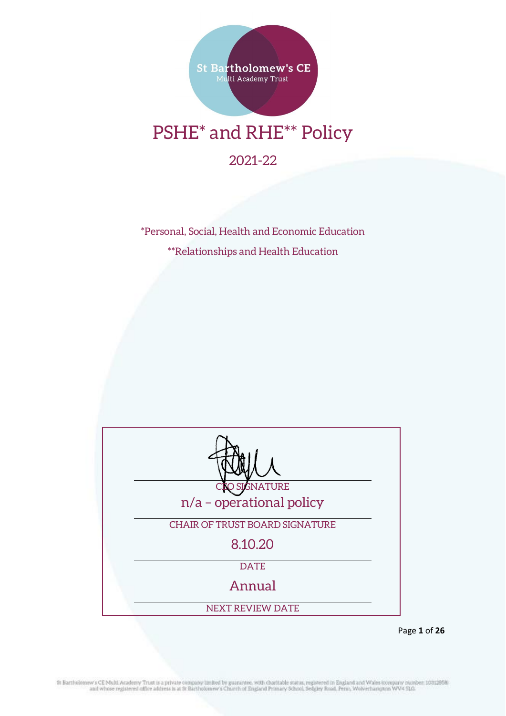

# PSHE\* and RHE\*\* Policy

2021-22

\*Personal, Social, Health and Economic Education \*\*Relationships and Health Education

| <b>GNATURE</b>                        |
|---------------------------------------|
| n/a - operational policy              |
| <b>CHAIR OF TRUST BOARD SIGNATURE</b> |
| 8.10.20                               |
| <b>DATE</b>                           |
| Annual                                |
| <b>NEXT REVIEW DATE</b>               |

Page **1** of **26**

St Bartholomew's CE Multi Academy Trust is a private company limited by guarantee, with charitable status, registered in England and Wales company number; 10312858).<br>and whose registered office address is at St Bartholomew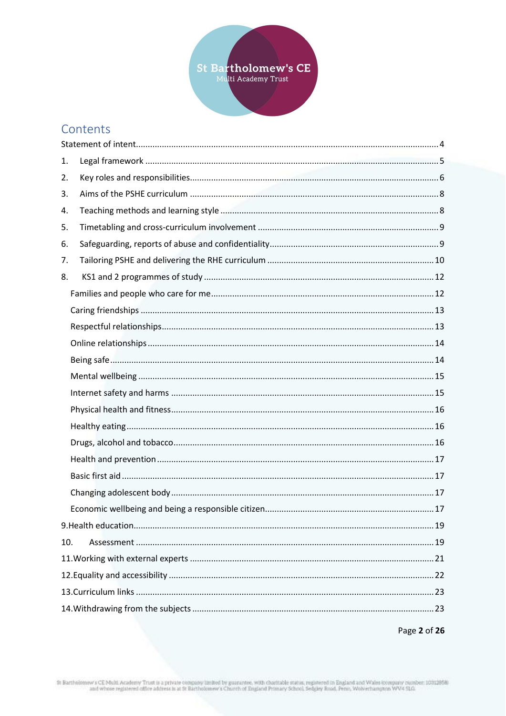

## Contents

| 1.  |  |  |  |
|-----|--|--|--|
| 2.  |  |  |  |
| 3.  |  |  |  |
| 4.  |  |  |  |
| 5.  |  |  |  |
| 6.  |  |  |  |
| 7.  |  |  |  |
| 8.  |  |  |  |
|     |  |  |  |
|     |  |  |  |
|     |  |  |  |
|     |  |  |  |
|     |  |  |  |
|     |  |  |  |
|     |  |  |  |
|     |  |  |  |
|     |  |  |  |
|     |  |  |  |
|     |  |  |  |
|     |  |  |  |
|     |  |  |  |
|     |  |  |  |
|     |  |  |  |
| 10. |  |  |  |
|     |  |  |  |
|     |  |  |  |
|     |  |  |  |
|     |  |  |  |

Page 2 of 26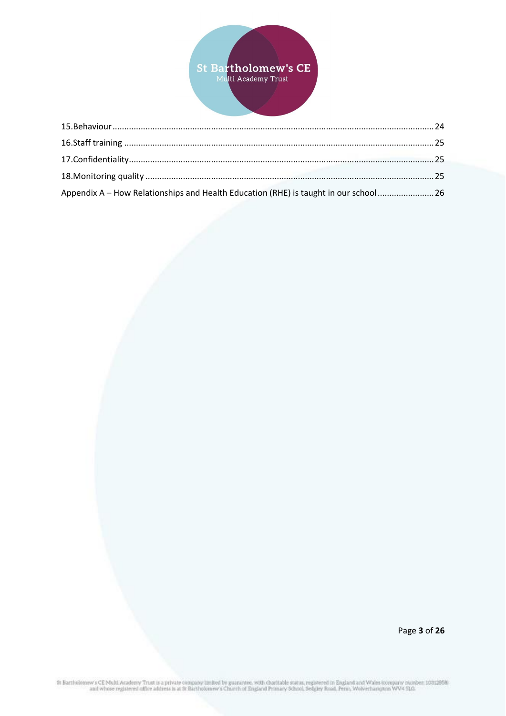

| Appendix A - How Relationships and Health Education (RHE) is taught in our school 26 |  |
|--------------------------------------------------------------------------------------|--|

Page 3 of 26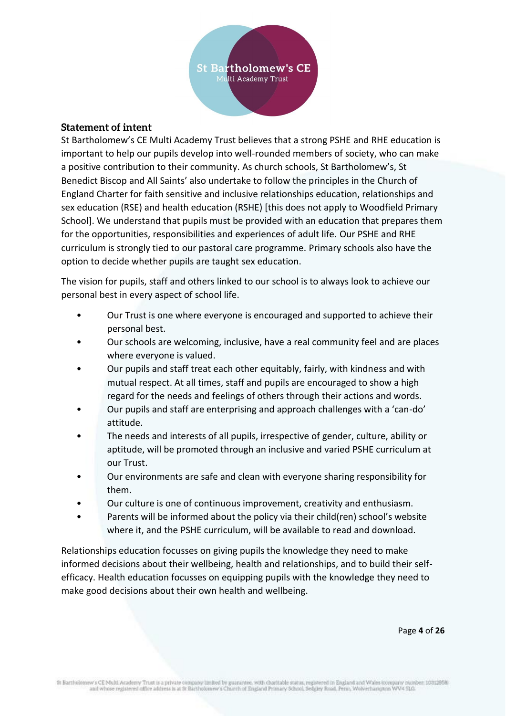

#### <span id="page-3-0"></span>**Statement of intent**

St Bartholomew's CE Multi Academy Trust believes that a strong PSHE and RHE education is important to help our pupils develop into well-rounded members of society, who can make a positive contribution to their community. As church schools, St Bartholomew's, St Benedict Biscop and All Saints' also undertake to follow the principles in the Church of England Charter for faith sensitive and inclusive relationships education, relationships and sex education (RSE) and health education (RSHE) [this does not apply to Woodfield Primary School]. We understand that pupils must be provided with an education that prepares them for the opportunities, responsibilities and experiences of adult life. Our PSHE and RHE curriculum is strongly tied to our pastoral care programme. Primary schools also have the option to decide whether pupils are taught sex education.

The vision for pupils, staff and others linked to our school is to always look to achieve our personal best in every aspect of school life.

- Our Trust is one where everyone is encouraged and supported to achieve their personal best.
- Our schools are welcoming, inclusive, have a real community feel and are places where everyone is valued.
- Our pupils and staff treat each other equitably, fairly, with kindness and with mutual respect. At all times, staff and pupils are encouraged to show a high regard for the needs and feelings of others through their actions and words.
- Our pupils and staff are enterprising and approach challenges with a 'can-do' attitude.
- The needs and interests of all pupils, irrespective of gender, culture, ability or aptitude, will be promoted through an inclusive and varied PSHE curriculum at our Trust.
- Our environments are safe and clean with everyone sharing responsibility for them.
- Our culture is one of continuous improvement, creativity and enthusiasm.
- Parents will be informed about the policy via their child(ren) school's website where it, and the PSHE curriculum, will be available to read and download.

Relationships education focusses on giving pupils the knowledge they need to make informed decisions about their wellbeing, health and relationships, and to build their selfefficacy. Health education focusses on equipping pupils with the knowledge they need to make good decisions about their own health and wellbeing.

Page **4** of **26**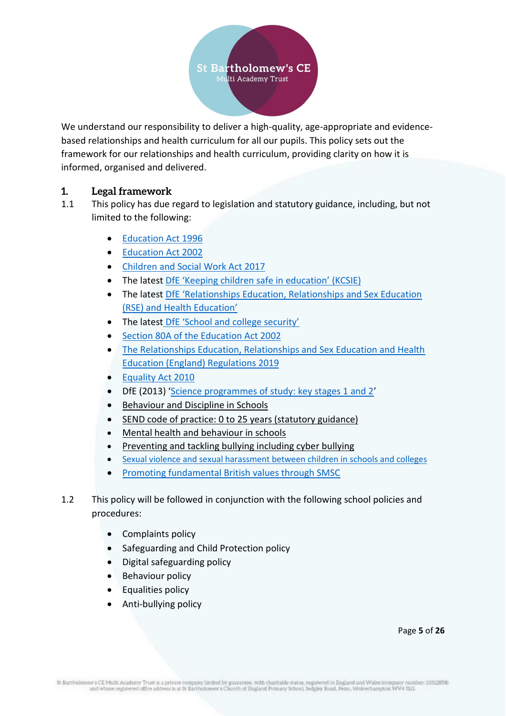

We understand our responsibility to deliver a high-quality, age-appropriate and evidencebased relationships and health curriculum for all our pupils. This policy sets out the framework for our relationships and health curriculum, providing clarity on how it is informed, organised and delivered.

## <span id="page-4-0"></span>**1. Legal framework**

- 1.1 This policy has due regard to legislation and statutory guidance, including, but not limited to the following:
	- [Education Act 1996](http://www.legislation.gov.uk/ukpga/1996/56/contents)
	- [Education Act 2002](http://www.legislation.gov.uk/ukpga/2002/32/contents)
	- [Children and Social Work Act 2017](http://www.legislation.gov.uk/ukpga/2017/16/contents/enacted)
	- The latest DfE ['Keeping children safe in education' \(KCSIE\)](https://www.gov.uk/government/publications/keeping-children-safe-in-education--2)
	- The latest DfE ['Relationships Education, Relationships and Sex Education](https://www.gov.uk/government/publications/relationships-education-relationships-and-sex-education-rse-and-health-education)  [\(RSE\) and Health Education'](https://www.gov.uk/government/publications/relationships-education-relationships-and-sex-education-rse-and-health-education)
	- The latest [DfE 'School and college security'](https://www.gov.uk/government/publications/school-and-college-security)
	- [Section 80A of the Education Act 2002](http://www.legislation.gov.uk/ukpga/2002/32/section/80)
	- [The Relationships Education, Relationships and Sex Education and Health](http://www.legislation.gov.uk/ukdsi/2019/9780111181997)  [Education \(England\) Regulations 2019](http://www.legislation.gov.uk/ukdsi/2019/9780111181997)
	- [Equality Act 2010](http://www.legislation.gov.uk/ukpga/2010/15/contents)
	- DfE (2013) '[Science programmes of study: key stages 1 and 2](https://assets.publishing.service.gov.uk/government/uploads/system/uploads/attachment_data/file/425618/PRIMARY_national_curriculum_-_Science.pdf)'
	- [Behaviour and Discipline in Schools](https://www.gov.uk/government/publications/behaviour-and-discipline-in-schools)
	- [SEND code of practice: 0 to 25 years \(statutory guidance\)](https://www.gov.uk/government/publications/send-code-of-practice-0-to-25)
	- [Mental health and behaviour in schools](https://www.gov.uk/government/publications/mental-health-and-behaviour-in-schools--2)
	- [Preventing and tackling bullying including cyber bullying](https://www.gov.uk/government/publications/preventing-and-tackling-bullying)
	- [Sexual violence and sexual harassment between children in schools and colleges](https://assets.publishing.service.gov.uk/government/uploads/system/uploads/attachment_data/file/719902/Sexual_violence_and_sexual_harassment_between_children_in_schools_and_colleges.pdf)
	- [Promoting fundamental British values through SMSC](https://www.gov.uk/government/publications/promoting-fundamental-british-values-through-smsc)
- 1.2 This policy will be followed in conjunction with the following school policies and procedures:
	- Complaints policy
	- Safeguarding and Child Protection policy
	- Digital safeguarding policy
	- Behaviour policy
	- Equalities policy
	- Anti-bullying policy

Page **5** of **26**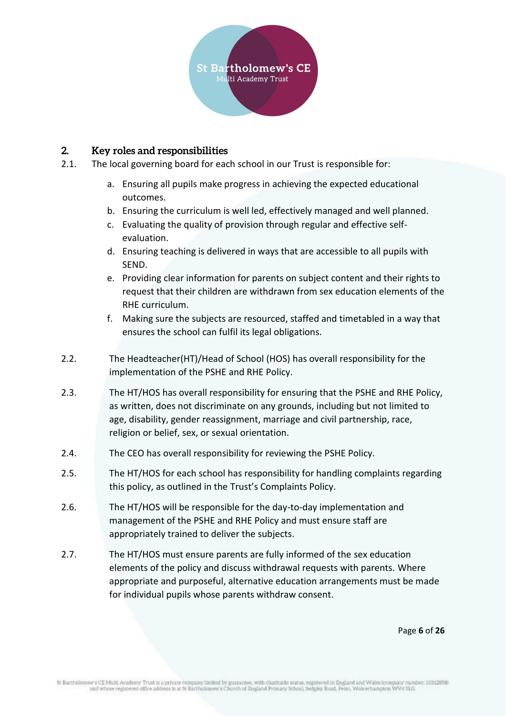

#### <span id="page-5-0"></span>**2. Key roles and responsibilities**

- 2.1. The local governing board for each school in our Trust is responsible for:
	- a. Ensuring all pupils make progress in achieving the expected educational outcomes.
	- b. Ensuring the curriculum is well led, effectively managed and well planned.
	- c. Evaluating the quality of provision through regular and effective selfevaluation.
	- d. Ensuring teaching is delivered in ways that are accessible to all pupils with SEND.
	- e. Providing clear information for parents on subject content and their rights to request that their children are withdrawn from sex education elements of the RHE curriculum.
	- f. Making sure the subjects are resourced, staffed and timetabled in a way that ensures the school can fulfil its legal obligations.
- 2.2. The Headteacher(HT)/Head of School (HOS) has overall responsibility for the implementation of the PSHE and RHE Policy.
- 2.3. The HT/HOS has overall responsibility for ensuring that the PSHE and RHE Policy, as written, does not discriminate on any grounds, including but not limited to age, disability, gender reassignment, marriage and civil partnership, race, religion or belief, sex, or sexual orientation.
- 2.4. The CEO has overall responsibility for reviewing the PSHE Policy.
- 2.5. The HT/HOS for each school has responsibility for handling complaints regarding this policy, as outlined in the Trust's Complaints Policy.
- 2.6. The HT/HOS will be responsible for the day-to-day implementation and management of the PSHE and RHE Policy and must ensure staff are appropriately trained to deliver the subjects.
- 2.7. The HT/HOS must ensure parents are fully informed of the sex education elements of the policy and discuss withdrawal requests with parents. Where appropriate and purposeful, alternative education arrangements must be made for individual pupils whose parents withdraw consent.

Page **6** of **26**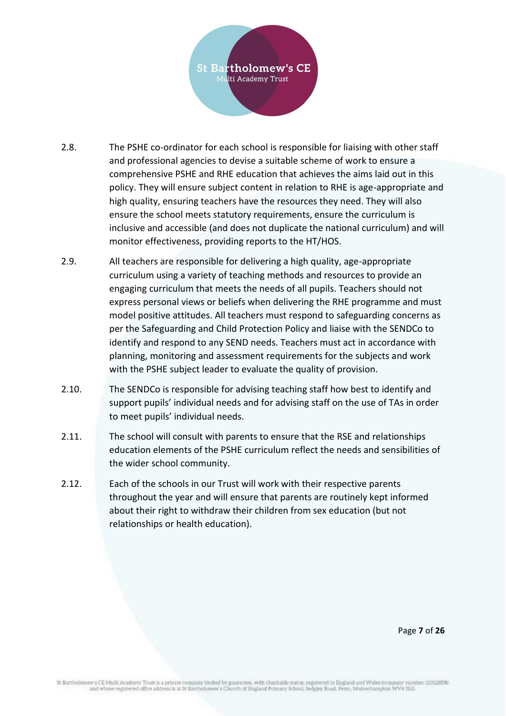

- 2.8. The PSHE co-ordinator for each school is responsible for liaising with other staff and professional agencies to devise a suitable scheme of work to ensure a comprehensive PSHE and RHE education that achieves the aims laid out in this policy. They will ensure subject content in relation to RHE is age-appropriate and high quality, ensuring teachers have the resources they need. They will also ensure the school meets statutory requirements, ensure the curriculum is inclusive and accessible (and does not duplicate the national curriculum) and will monitor effectiveness, providing reports to the HT/HOS.
- 2.9. All teachers are responsible for delivering a high quality, age-appropriate curriculum using a variety of teaching methods and resources to provide an engaging curriculum that meets the needs of all pupils. Teachers should not express personal views or beliefs when delivering the RHE programme and must model positive attitudes. All teachers must respond to safeguarding concerns as per the Safeguarding and Child Protection Policy and liaise with the SENDCo to identify and respond to any SEND needs. Teachers must act in accordance with planning, monitoring and assessment requirements for the subjects and work with the PSHE subject leader to evaluate the quality of provision.
- 2.10. The SENDCo is responsible for advising teaching staff how best to identify and support pupils' individual needs and for advising staff on the use of TAs in order to meet pupils' individual needs.
- 2.11. The school will consult with parents to ensure that the RSE and relationships education elements of the PSHE curriculum reflect the needs and sensibilities of the wider school community.
- 2.12. Each of the schools in our Trust will work with their respective parents throughout the year and will ensure that parents are routinely kept informed about their right to withdraw their children from sex education (but not relationships or health education).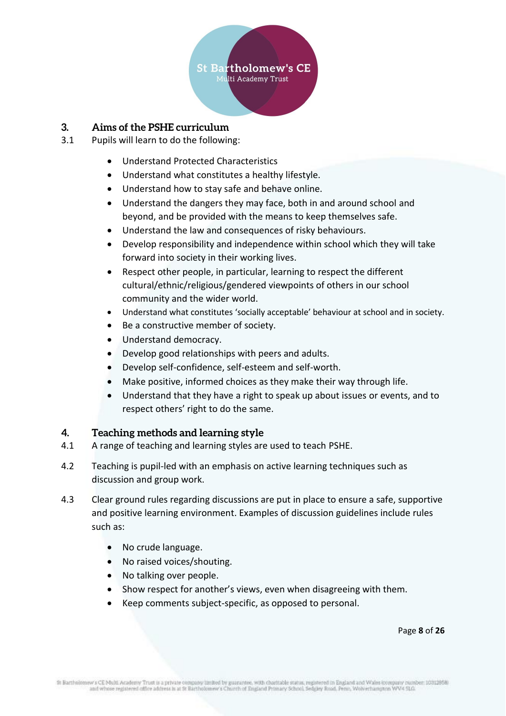

#### <span id="page-7-0"></span>**3. Aims of the PSHE curriculum**

- 3.1 Pupils will learn to do the following:
	- Understand Protected Characteristics
	- Understand what constitutes a healthy lifestyle.
	- Understand how to stay safe and behave online.
	- Understand the dangers they may face, both in and around school and beyond, and be provided with the means to keep themselves safe.
	- Understand the law and consequences of risky behaviours.
	- Develop responsibility and independence within school which they will take forward into society in their working lives.
	- Respect other people, in particular, learning to respect the different cultural/ethnic/religious/gendered viewpoints of others in our school community and the wider world.
	- Understand what constitutes 'socially acceptable' behaviour at school and in society.
	- Be a constructive member of society.
	- Understand democracy.
	- Develop good relationships with peers and adults.
	- Develop self-confidence, self-esteem and self-worth.
	- Make positive, informed choices as they make their way through life.
	- Understand that they have a right to speak up about issues or events, and to respect others' right to do the same.

#### <span id="page-7-1"></span>**4. Teaching methods and learning style**

- 4.1 A range of teaching and learning styles are used to teach PSHE.
- 4.2 Teaching is pupil-led with an emphasis on active learning techniques such as discussion and group work.
- 4.3 Clear ground rules regarding discussions are put in place to ensure a safe, supportive and positive learning environment. Examples of discussion guidelines include rules such as:
	- No crude language.
	- No raised voices/shouting.
	- No talking over people.
	- Show respect for another's views, even when disagreeing with them.
	- Keep comments subject-specific, as opposed to personal.

Page **8** of **26**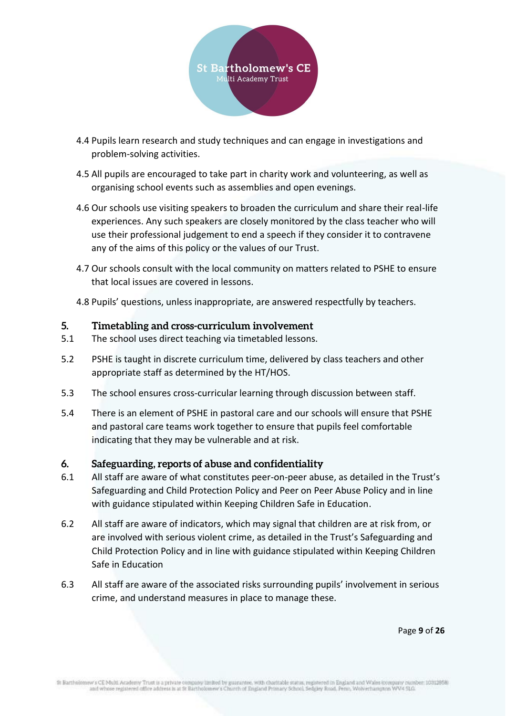

- 4.4 Pupils learn research and study techniques and can engage in investigations and problem-solving activities.
- 4.5 All pupils are encouraged to take part in charity work and volunteering, as well as organising school events such as assemblies and open evenings.
- 4.6 Our schools use visiting speakers to broaden the curriculum and share their real-life experiences. Any such speakers are closely monitored by the class teacher who will use their professional judgement to end a speech if they consider it to contravene any of the aims of this policy or the values of our Trust.
- 4.7 Our schools consult with the local community on matters related to PSHE to ensure that local issues are covered in lessons.
- 4.8 Pupils' questions, unless inappropriate, are answered respectfully by teachers.

## <span id="page-8-0"></span>**5. Timetabling and cross-curriculum involvement**

- 5.1 The school uses direct teaching via timetabled lessons.
- 5.2 PSHE is taught in discrete curriculum time, delivered by class teachers and other appropriate staff as determined by the HT/HOS.
- 5.3 The school ensures cross-curricular learning through discussion between staff.
- 5.4 There is an element of PSHE in pastoral care and our schools will ensure that PSHE and pastoral care teams work together to ensure that pupils feel comfortable indicating that they may be vulnerable and at risk.

#### <span id="page-8-1"></span>**6. Safeguarding, reports of abuse and confidentiality**

- 6.1 All staff are aware of what constitutes peer-on-peer abuse, as detailed in the Trust's Safeguarding and Child Protection Policy and Peer on Peer Abuse Policy and in line with guidance stipulated within Keeping Children Safe in Education.
- 6.2 All staff are aware of indicators, which may signal that children are at risk from, or are involved with serious violent crime, as detailed in the Trust's Safeguarding and Child Protection Policy and in line with guidance stipulated within Keeping Children Safe in Education
- 6.3 All staff are aware of the associated risks surrounding pupils' involvement in serious crime, and understand measures in place to manage these.

Page **9** of **26**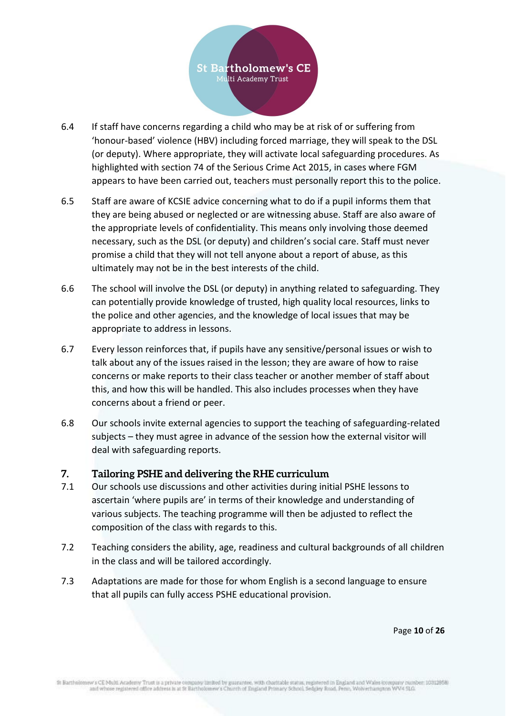

- 6.4 If staff have concerns regarding a child who may be at risk of or suffering from 'honour-based' violence (HBV) including forced marriage, they will speak to the DSL (or deputy). Where appropriate, they will activate local safeguarding procedures. As highlighted with section 74 of the Serious Crime Act 2015, in cases where FGM appears to have been carried out, teachers must personally report this to the police.
- 6.5 Staff are aware of KCSIE advice concerning what to do if a pupil informs them that they are being abused or neglected or are witnessing abuse. Staff are also aware of the appropriate levels of confidentiality. This means only involving those deemed necessary, such as the DSL (or deputy) and children's social care. Staff must never promise a child that they will not tell anyone about a report of abuse, as this ultimately may not be in the best interests of the child.
- 6.6 The school will involve the DSL (or deputy) in anything related to safeguarding. They can potentially provide knowledge of trusted, high quality local resources, links to the police and other agencies, and the knowledge of local issues that may be appropriate to address in lessons.
- 6.7 Every lesson reinforces that, if pupils have any sensitive/personal issues or wish to talk about any of the issues raised in the lesson; they are aware of how to raise concerns or make reports to their class teacher or another member of staff about this, and how this will be handled. This also includes processes when they have concerns about a friend or peer.
- 6.8 Our schools invite external agencies to support the teaching of safeguarding-related subjects – they must agree in advance of the session how the external visitor will deal with safeguarding reports.

## <span id="page-9-0"></span>**7. Tailoring PSHE and delivering the RHE curriculum**

- 7.1 Our schools use discussions and other activities during initial PSHE lessons to ascertain 'where pupils are' in terms of their knowledge and understanding of various subjects. The teaching programme will then be adjusted to reflect the composition of the class with regards to this.
- 7.2 Teaching considers the ability, age, readiness and cultural backgrounds of all children in the class and will be tailored accordingly.
- 7.3 Adaptations are made for those for whom English is a second language to ensure that all pupils can fully access PSHE educational provision.

Page **10** of **26**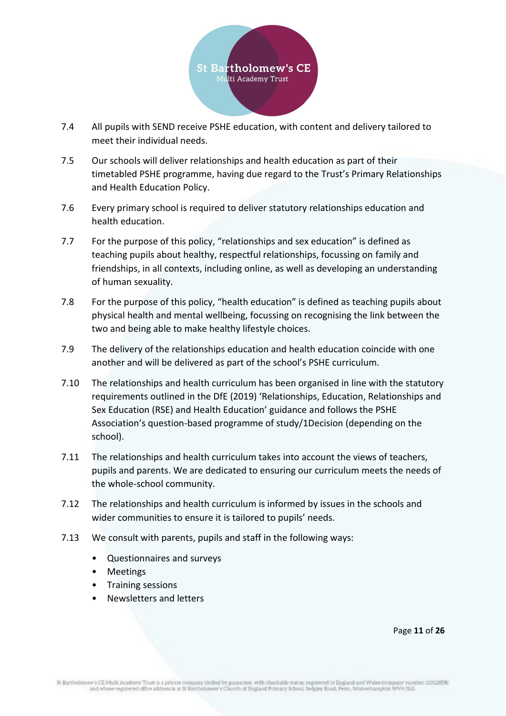

- 7.4 All pupils with SEND receive PSHE education, with content and delivery tailored to meet their individual needs.
- 7.5 Our schools will deliver relationships and health education as part of their timetabled PSHE programme, having due regard to the Trust's Primary Relationships and Health Education Policy.
- 7.6 Every primary school is required to deliver statutory relationships education and health education.
- 7.7 For the purpose of this policy, "relationships and sex education" is defined as teaching pupils about healthy, respectful relationships, focussing on family and friendships, in all contexts, including online, as well as developing an understanding of human sexuality.
- 7.8 For the purpose of this policy, "health education" is defined as teaching pupils about physical health and mental wellbeing, focussing on recognising the link between the two and being able to make healthy lifestyle choices.
- 7.9 The delivery of the relationships education and health education coincide with one another and will be delivered as part of the school's PSHE curriculum.
- 7.10 The relationships and health curriculum has been organised in line with the statutory requirements outlined in the DfE (2019) 'Relationships, Education, Relationships and Sex Education (RSE) and Health Education' guidance and follows the PSHE Association's question-based programme of study/1Decision (depending on the school).
- 7.11 The relationships and health curriculum takes into account the views of teachers, pupils and parents. We are dedicated to ensuring our curriculum meets the needs of the whole-school community.
- 7.12 The relationships and health curriculum is informed by issues in the schools and wider communities to ensure it is tailored to pupils' needs.
- 7.13 We consult with parents, pupils and staff in the following ways:
	- Questionnaires and surveys
	- Meetings
	- Training sessions
	- Newsletters and letters

Page **11** of **26**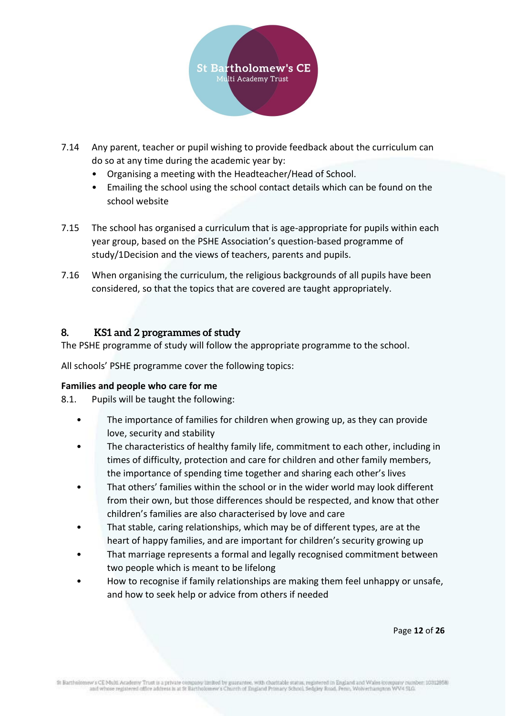

- 7.14 Any parent, teacher or pupil wishing to provide feedback about the curriculum can do so at any time during the academic year by:
	- Organising a meeting with the Headteacher/Head of School.
	- Emailing the school using the school contact details which can be found on the school website
- 7.15 The school has organised a curriculum that is age-appropriate for pupils within each year group, based on the PSHE Association's question-based programme of study/1Decision and the views of teachers, parents and pupils.
- 7.16 When organising the curriculum, the religious backgrounds of all pupils have been considered, so that the topics that are covered are taught appropriately.

## <span id="page-11-0"></span>**8. KS1 and 2 programmes of study**

The PSHE programme of study will follow the appropriate programme to the school.

All schools' PSHE programme cover the following topics:

#### <span id="page-11-1"></span>**Families and people who care for me**

- 8.1. Pupils will be taught the following:
	- The importance of families for children when growing up, as they can provide love, security and stability
	- The characteristics of healthy family life, commitment to each other, including in times of difficulty, protection and care for children and other family members, the importance of spending time together and sharing each other's lives
	- That others' families within the school or in the wider world may look different from their own, but those differences should be respected, and know that other children's families are also characterised by love and care
	- That stable, caring relationships, which may be of different types, are at the heart of happy families, and are important for children's security growing up
	- That marriage represents a formal and legally recognised commitment between two people which is meant to be lifelong
	- How to recognise if family relationships are making them feel unhappy or unsafe, and how to seek help or advice from others if needed

Page **12** of **26**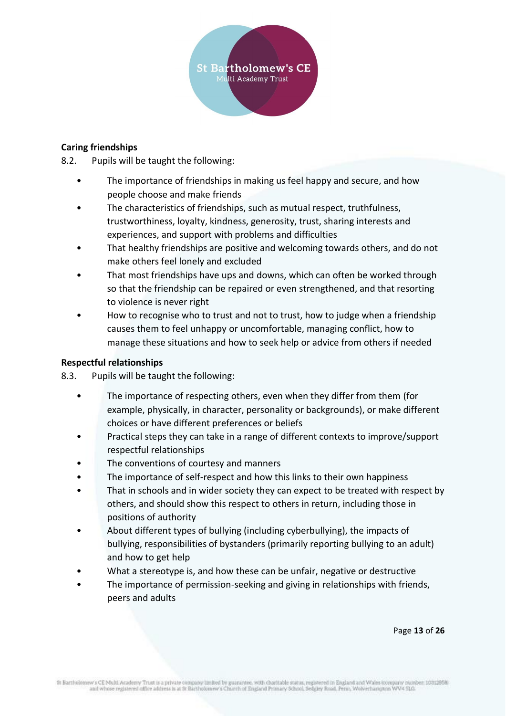

#### <span id="page-12-0"></span>**Caring friendships**

8.2. Pupils will be taught the following:

- The importance of friendships in making us feel happy and secure, and how people choose and make friends
- The characteristics of friendships, such as mutual respect, truthfulness, trustworthiness, loyalty, kindness, generosity, trust, sharing interests and experiences, and support with problems and difficulties
- That healthy friendships are positive and welcoming towards others, and do not make others feel lonely and excluded
- That most friendships have ups and downs, which can often be worked through so that the friendship can be repaired or even strengthened, and that resorting to violence is never right
- How to recognise who to trust and not to trust, how to judge when a friendship causes them to feel unhappy or uncomfortable, managing conflict, how to manage these situations and how to seek help or advice from others if needed

#### <span id="page-12-1"></span>**Respectful relationships**

8.3. Pupils will be taught the following:

- The importance of respecting others, even when they differ from them (for example, physically, in character, personality or backgrounds), or make different choices or have different preferences or beliefs
- Practical steps they can take in a range of different contexts to improve/support respectful relationships
- The conventions of courtesy and manners
- The importance of self-respect and how this links to their own happiness
- That in schools and in wider society they can expect to be treated with respect by others, and should show this respect to others in return, including those in positions of authority
- About different types of bullying (including cyberbullying), the impacts of bullying, responsibilities of bystanders (primarily reporting bullying to an adult) and how to get help
- What a stereotype is, and how these can be unfair, negative or destructive
- The importance of permission-seeking and giving in relationships with friends, peers and adults

Page **13** of **26**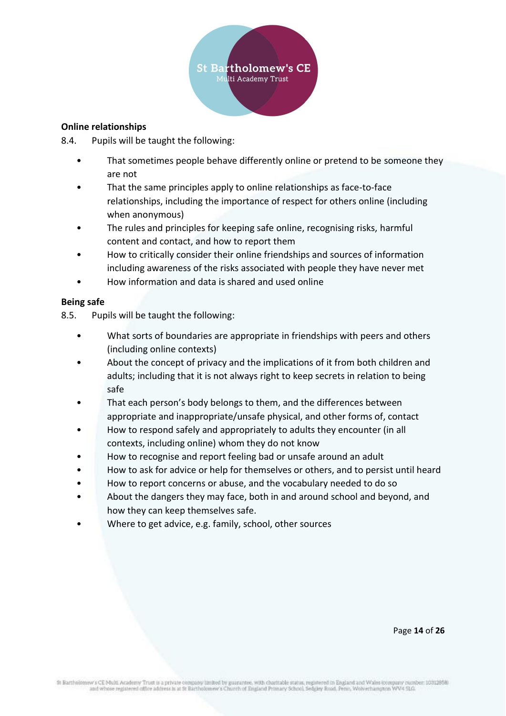

#### <span id="page-13-0"></span>**Online relationships**

8.4. Pupils will be taught the following:

- That sometimes people behave differently online or pretend to be someone they are not
- That the same principles apply to online relationships as face-to-face relationships, including the importance of respect for others online (including when anonymous)
- The rules and principles for keeping safe online, recognising risks, harmful content and contact, and how to report them
- How to critically consider their online friendships and sources of information including awareness of the risks associated with people they have never met
- How information and data is shared and used online

#### <span id="page-13-1"></span>**Being safe**

8.5. Pupils will be taught the following:

- What sorts of boundaries are appropriate in friendships with peers and others (including online contexts)
- About the concept of privacy and the implications of it from both children and adults; including that it is not always right to keep secrets in relation to being safe
- That each person's body belongs to them, and the differences between appropriate and inappropriate/unsafe physical, and other forms of, contact
- How to respond safely and appropriately to adults they encounter (in all contexts, including online) whom they do not know
- How to recognise and report feeling bad or unsafe around an adult
- How to ask for advice or help for themselves or others, and to persist until heard
- How to report concerns or abuse, and the vocabulary needed to do so
- About the dangers they may face, both in and around school and beyond, and how they can keep themselves safe.
- Where to get advice, e.g. family, school, other sources

Page **14** of **26**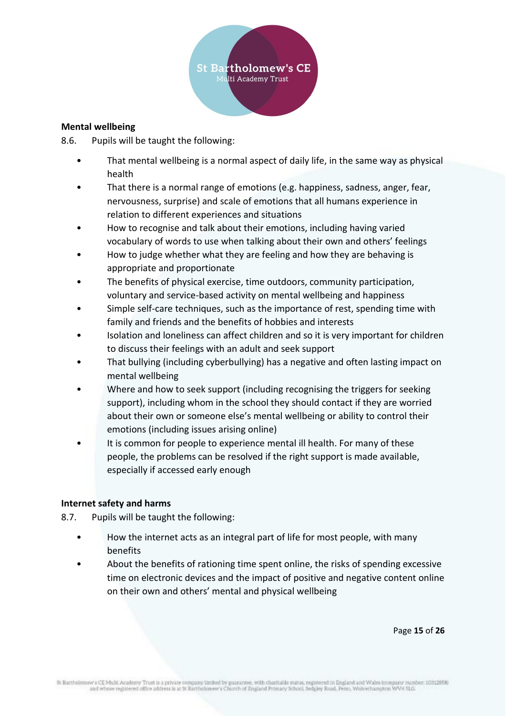

#### <span id="page-14-0"></span>**Mental wellbeing**

8.6. Pupils will be taught the following:

- That mental wellbeing is a normal aspect of daily life, in the same way as physical health
- That there is a normal range of emotions (e.g. happiness, sadness, anger, fear, nervousness, surprise) and scale of emotions that all humans experience in relation to different experiences and situations
- How to recognise and talk about their emotions, including having varied vocabulary of words to use when talking about their own and others' feelings
- How to judge whether what they are feeling and how they are behaving is appropriate and proportionate
- The benefits of physical exercise, time outdoors, community participation, voluntary and service-based activity on mental wellbeing and happiness
- Simple self-care techniques, such as the importance of rest, spending time with family and friends and the benefits of hobbies and interests
- Isolation and loneliness can affect children and so it is very important for children to discuss their feelings with an adult and seek support
- That bullying (including cyberbullying) has a negative and often lasting impact on mental wellbeing
- Where and how to seek support (including recognising the triggers for seeking support), including whom in the school they should contact if they are worried about their own or someone else's mental wellbeing or ability to control their emotions (including issues arising online)
- It is common for people to experience mental ill health. For many of these people, the problems can be resolved if the right support is made available, especially if accessed early enough

#### <span id="page-14-1"></span>**Internet safety and harms**

8.7. Pupils will be taught the following:

- How the internet acts as an integral part of life for most people, with many benefits
- About the benefits of rationing time spent online, the risks of spending excessive time on electronic devices and the impact of positive and negative content online on their own and others' mental and physical wellbeing

Page **15** of **26**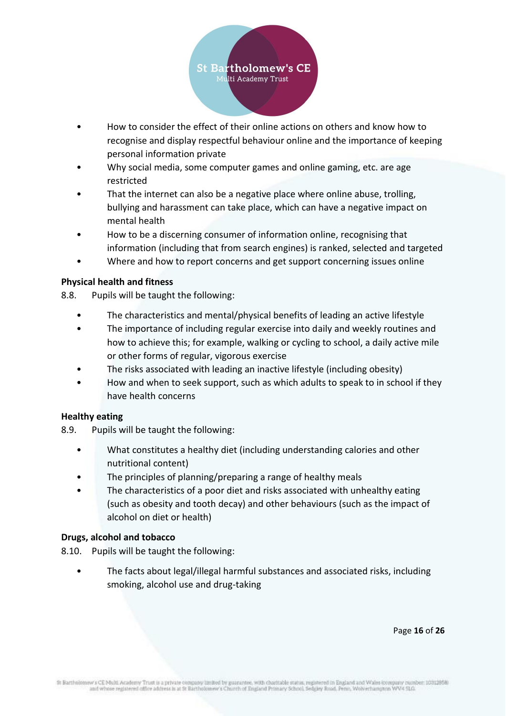

- How to consider the effect of their online actions on others and know how to recognise and display respectful behaviour online and the importance of keeping personal information private
- Why social media, some computer games and online gaming, etc. are age restricted
- That the internet can also be a negative place where online abuse, trolling, bullying and harassment can take place, which can have a negative impact on mental health
- How to be a discerning consumer of information online, recognising that information (including that from search engines) is ranked, selected and targeted
- Where and how to report concerns and get support concerning issues online

#### <span id="page-15-0"></span>**Physical health and fitness**

- 8.8. Pupils will be taught the following:
	- The characteristics and mental/physical benefits of leading an active lifestyle
	- The importance of including regular exercise into daily and weekly routines and how to achieve this; for example, walking or cycling to school, a daily active mile or other forms of regular, vigorous exercise
	- The risks associated with leading an inactive lifestyle (including obesity)
	- How and when to seek support, such as which adults to speak to in school if they have health concerns

#### <span id="page-15-1"></span>**Healthy eating**

- 8.9. Pupils will be taught the following:
	- What constitutes a healthy diet (including understanding calories and other nutritional content)
	- The principles of planning/preparing a range of healthy meals
	- The characteristics of a poor diet and risks associated with unhealthy eating (such as obesity and tooth decay) and other behaviours (such as the impact of alcohol on diet or health)

#### <span id="page-15-2"></span>**Drugs, alcohol and tobacco**

- 8.10. Pupils will be taught the following:
	- The facts about legal/illegal harmful substances and associated risks, including smoking, alcohol use and drug-taking

Page **16** of **26**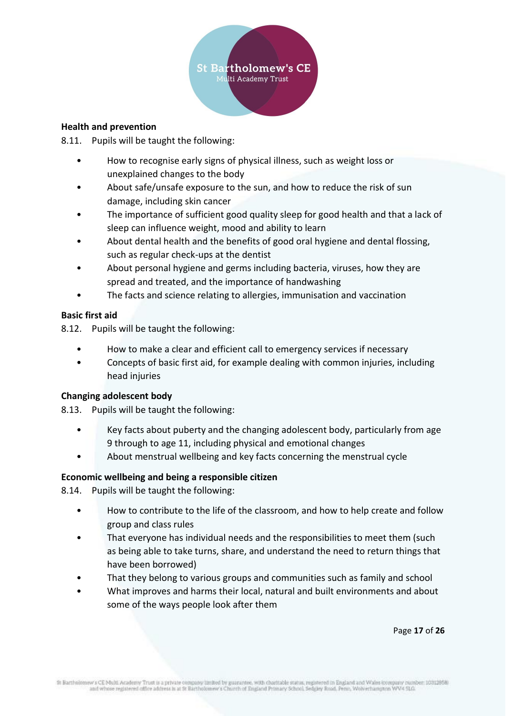

#### <span id="page-16-0"></span>**Health and prevention**

8.11. Pupils will be taught the following:

- How to recognise early signs of physical illness, such as weight loss or unexplained changes to the body
- About safe/unsafe exposure to the sun, and how to reduce the risk of sun damage, including skin cancer
- The importance of sufficient good quality sleep for good health and that a lack of sleep can influence weight, mood and ability to learn
- About dental health and the benefits of good oral hygiene and dental flossing, such as regular check-ups at the dentist
- About personal hygiene and germs including bacteria, viruses, how they are spread and treated, and the importance of handwashing
- The facts and science relating to allergies, immunisation and vaccination

## <span id="page-16-1"></span>**Basic first aid**

8.12. Pupils will be taught the following:

- How to make a clear and efficient call to emergency services if necessary
- Concepts of basic first aid, for example dealing with common injuries, including head injuries

## <span id="page-16-2"></span>**Changing adolescent body**

8.13. Pupils will be taught the following:

- Key facts about puberty and the changing adolescent body, particularly from age 9 through to age 11, including physical and emotional changes
- About menstrual wellbeing and key facts concerning the menstrual cycle

## <span id="page-16-3"></span>**Economic wellbeing and being a responsible citizen**

8.14. Pupils will be taught the following:

- How to contribute to the life of the classroom, and how to help create and follow group and class rules
- That everyone has individual needs and the responsibilities to meet them (such as being able to take turns, share, and understand the need to return things that have been borrowed)
- That they belong to various groups and communities such as family and school
- What improves and harms their local, natural and built environments and about some of the ways people look after them

Page **17** of **26**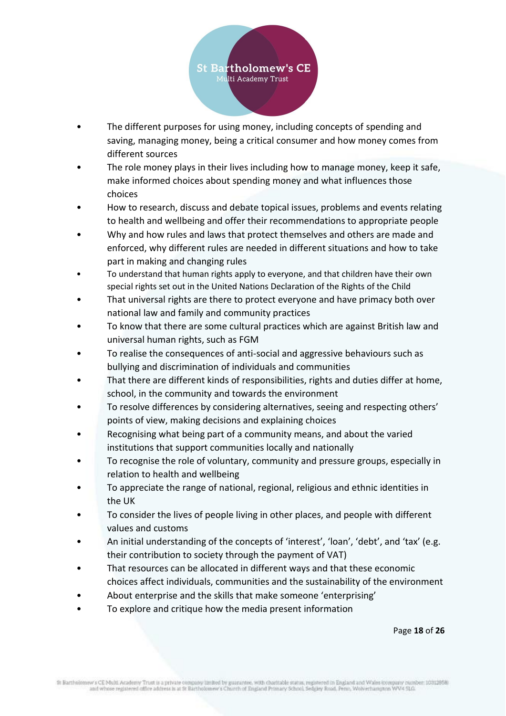

- The different purposes for using money, including concepts of spending and saving, managing money, being a critical consumer and how money comes from different sources
- The role money plays in their lives including how to manage money, keep it safe. make informed choices about spending money and what influences those choices
- How to research, discuss and debate topical issues, problems and events relating to health and wellbeing and offer their recommendations to appropriate people
- Why and how rules and laws that protect themselves and others are made and enforced, why different rules are needed in different situations and how to take part in making and changing rules
- To understand that human rights apply to everyone, and that children have their own special rights set out in the United Nations Declaration of the Rights of the Child
- That universal rights are there to protect everyone and have primacy both over national law and family and community practices
- To know that there are some cultural practices which are against British law and universal human rights, such as FGM
- To realise the consequences of anti-social and aggressive behaviours such as bullying and discrimination of individuals and communities
- That there are different kinds of responsibilities, rights and duties differ at home, school, in the community and towards the environment
- To resolve differences by considering alternatives, seeing and respecting others' points of view, making decisions and explaining choices
- Recognising what being part of a community means, and about the varied institutions that support communities locally and nationally
- To recognise the role of voluntary, community and pressure groups, especially in relation to health and wellbeing
- To appreciate the range of national, regional, religious and ethnic identities in the UK
- To consider the lives of people living in other places, and people with different values and customs
- An initial understanding of the concepts of 'interest', 'loan', 'debt', and 'tax' (e.g. their contribution to society through the payment of VAT)
- That resources can be allocated in different ways and that these economic choices affect individuals, communities and the sustainability of the environment
- About enterprise and the skills that make someone 'enterprising'
- To explore and critique how the media present information

Page **18** of **26**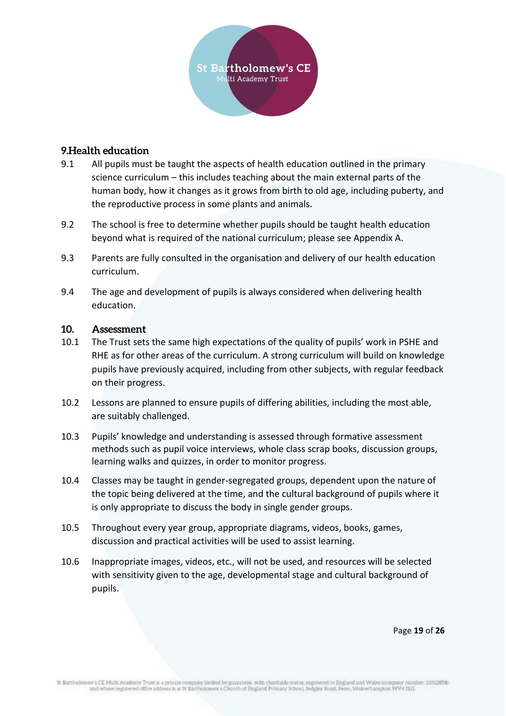

#### <span id="page-18-0"></span>**9.Health education**

- 9.1 All pupils must be taught the aspects of health education outlined in the primary science curriculum – this includes teaching about the main external parts of the human body, how it changes as it grows from birth to old age, including puberty, and the reproductive process in some plants and animals.
- 9.2 The school is free to determine whether pupils should be taught health education beyond what is required of the national curriculum; please see Appendix A.
- 9.3 Parents are fully consulted in the organisation and delivery of our health education curriculum.
- 9.4 The age and development of pupils is always considered when delivering health education.

#### <span id="page-18-1"></span>**10. Assessment**

- 10.1 The Trust sets the same high expectations of the quality of pupils' work in PSHE and RHE as for other areas of the curriculum. A strong curriculum will build on knowledge pupils have previously acquired, including from other subjects, with regular feedback on their progress.
- 10.2 Lessons are planned to ensure pupils of differing abilities, including the most able, are suitably challenged.
- 10.3 Pupils' knowledge and understanding is assessed through formative assessment methods such as pupil voice interviews, whole class scrap books, discussion groups, learning walks and quizzes, in order to monitor progress.
- 10.4 Classes may be taught in gender-segregated groups, dependent upon the nature of the topic being delivered at the time, and the cultural background of pupils where it is only appropriate to discuss the body in single gender groups.
- 10.5 Throughout every year group, appropriate diagrams, videos, books, games, discussion and practical activities will be used to assist learning.
- 10.6 Inappropriate images, videos, etc., will not be used, and resources will be selected with sensitivity given to the age, developmental stage and cultural background of pupils.

Page **19** of **26**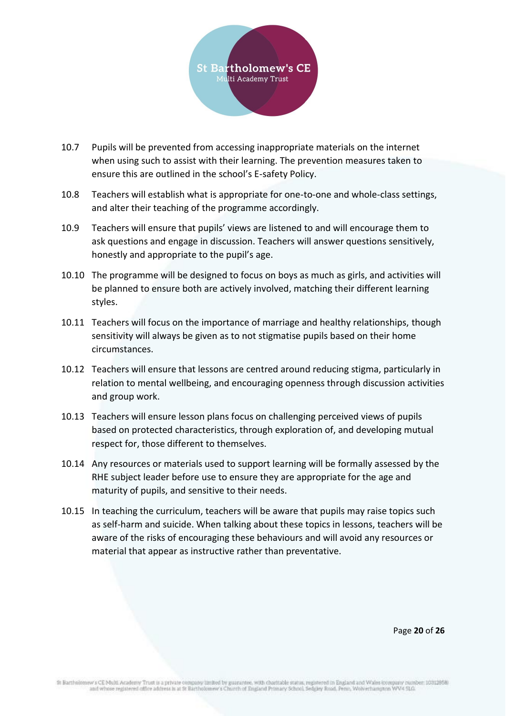

- 10.7 Pupils will be prevented from accessing inappropriate materials on the internet when using such to assist with their learning. The prevention measures taken to ensure this are outlined in the school's E-safety Policy.
- 10.8 Teachers will establish what is appropriate for one-to-one and whole-class settings, and alter their teaching of the programme accordingly.
- 10.9 Teachers will ensure that pupils' views are listened to and will encourage them to ask questions and engage in discussion. Teachers will answer questions sensitively, honestly and appropriate to the pupil's age.
- 10.10 The programme will be designed to focus on boys as much as girls, and activities will be planned to ensure both are actively involved, matching their different learning styles.
- 10.11 Teachers will focus on the importance of marriage and healthy relationships, though sensitivity will always be given as to not stigmatise pupils based on their home circumstances.
- 10.12 Teachers will ensure that lessons are centred around reducing stigma, particularly in relation to mental wellbeing, and encouraging openness through discussion activities and group work.
- 10.13 Teachers will ensure lesson plans focus on challenging perceived views of pupils based on protected characteristics, through exploration of, and developing mutual respect for, those different to themselves.
- 10.14 Any resources or materials used to support learning will be formally assessed by the RHE subject leader before use to ensure they are appropriate for the age and maturity of pupils, and sensitive to their needs.
- 10.15 In teaching the curriculum, teachers will be aware that pupils may raise topics such as self-harm and suicide. When talking about these topics in lessons, teachers will be aware of the risks of encouraging these behaviours and will avoid any resources or material that appear as instructive rather than preventative.

Page **20** of **26**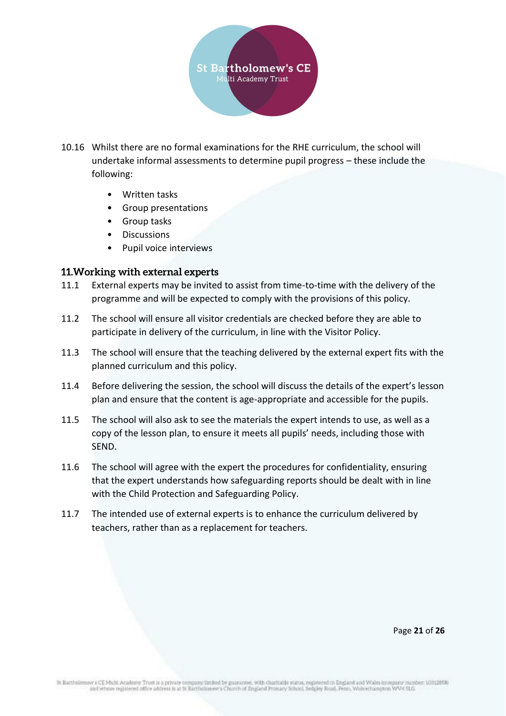

- 10.16 Whilst there are no formal examinations for the RHE curriculum, the school will undertake informal assessments to determine pupil progress – these include the following:
	- Written tasks
	- Group presentations
	- Group tasks
	- Discussions
	- Pupil voice interviews

#### <span id="page-20-0"></span>**11.Working with external experts**

- 11.1 External experts may be invited to assist from time-to-time with the delivery of the programme and will be expected to comply with the provisions of this policy.
- 11.2 The school will ensure all visitor credentials are checked before they are able to participate in delivery of the curriculum, in line with the Visitor Policy.
- 11.3 The school will ensure that the teaching delivered by the external expert fits with the planned curriculum and this policy.
- 11.4 Before delivering the session, the school will discuss the details of the expert's lesson plan and ensure that the content is age-appropriate and accessible for the pupils.
- 11.5 The school will also ask to see the materials the expert intends to use, as well as a copy of the lesson plan, to ensure it meets all pupils' needs, including those with SEND.
- 11.6 The school will agree with the expert the procedures for confidentiality, ensuring that the expert understands how safeguarding reports should be dealt with in line with the Child Protection and Safeguarding Policy.
- 11.7 The intended use of external experts is to enhance the curriculum delivered by teachers, rather than as a replacement for teachers.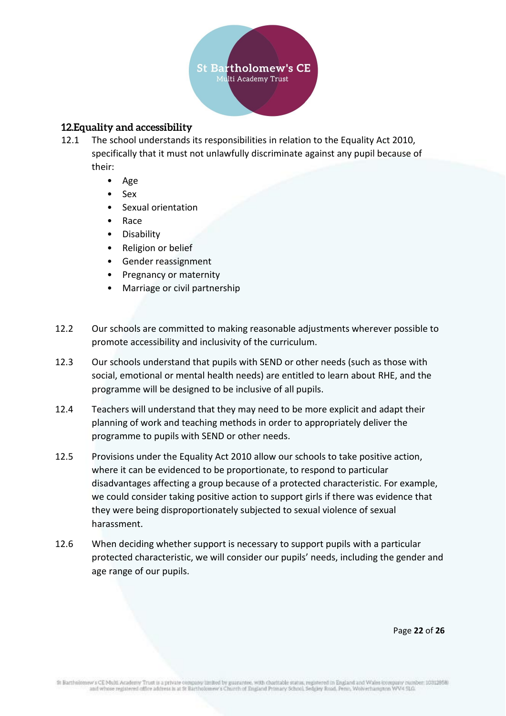

## <span id="page-21-0"></span>**12.Equality and accessibility**

- 12.1 The school understands its responsibilities in relation to the Equality Act 2010, specifically that it must not unlawfully discriminate against any pupil because of their:
	- Age
	- Sex
	- Sexual orientation
	- Race
	- Disability
	- Religion or belief
	- Gender reassignment
	- Pregnancy or maternity
	- Marriage or civil partnership
- 12.2 Our schools are committed to making reasonable adjustments wherever possible to promote accessibility and inclusivity of the curriculum.
- 12.3 Our schools understand that pupils with SEND or other needs (such as those with social, emotional or mental health needs) are entitled to learn about RHE, and the programme will be designed to be inclusive of all pupils.
- 12.4 Teachers will understand that they may need to be more explicit and adapt their planning of work and teaching methods in order to appropriately deliver the programme to pupils with SEND or other needs.
- 12.5 Provisions under the Equality Act 2010 allow our schools to take positive action, where it can be evidenced to be proportionate, to respond to particular disadvantages affecting a group because of a protected characteristic. For example, we could consider taking positive action to support girls if there was evidence that they were being disproportionately subjected to sexual violence of sexual harassment.
- 12.6 When deciding whether support is necessary to support pupils with a particular protected characteristic, we will consider our pupils' needs, including the gender and age range of our pupils.

Page **22** of **26**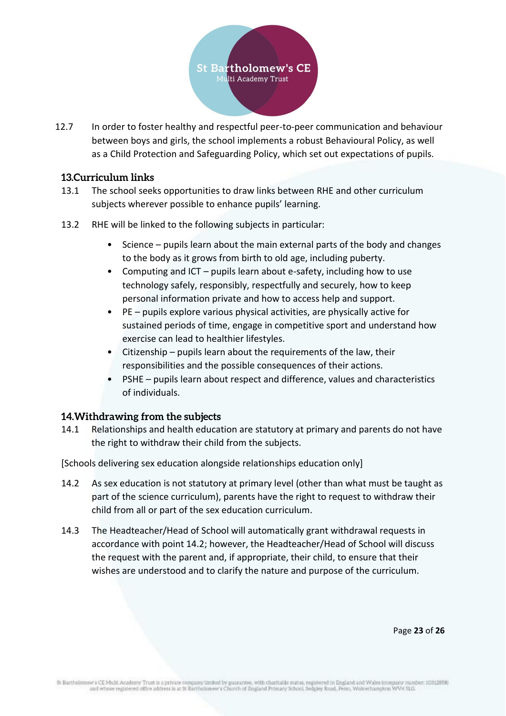

12.7 In order to foster healthy and respectful peer-to-peer communication and behaviour between boys and girls, the school implements a robust Behavioural Policy, as well as a Child Protection and Safeguarding Policy, which set out expectations of pupils.

#### <span id="page-22-0"></span>**13.Curriculum links**

- 13.1 The school seeks opportunities to draw links between RHE and other curriculum subjects wherever possible to enhance pupils' learning.
- 13.2 RHE will be linked to the following subjects in particular:
	- Science pupils learn about the main external parts of the body and changes to the body as it grows from birth to old age, including puberty.
	- Computing and ICT pupils learn about e-safety, including how to use technology safely, responsibly, respectfully and securely, how to keep personal information private and how to access help and support.
	- PE pupils explore various physical activities, are physically active for sustained periods of time, engage in competitive sport and understand how exercise can lead to healthier lifestyles.
	- Citizenship pupils learn about the requirements of the law, their responsibilities and the possible consequences of their actions.
	- PSHE pupils learn about respect and difference, values and characteristics of individuals.

#### <span id="page-22-1"></span>**14.Withdrawing from the subjects**

14.1 Relationships and health education are statutory at primary and parents do not have the right to withdraw their child from the subjects.

[Schools delivering sex education alongside relationships education only]

- 14.2 As sex education is not statutory at primary level (other than what must be taught as part of the science curriculum), parents have the right to request to withdraw their child from all or part of the sex education curriculum.
- 14.3 The Headteacher/Head of School will automatically grant withdrawal requests in accordance with point 14.2; however, the Headteacher/Head of School will discuss the request with the parent and, if appropriate, their child, to ensure that their wishes are understood and to clarify the nature and purpose of the curriculum.

Page **23** of **26**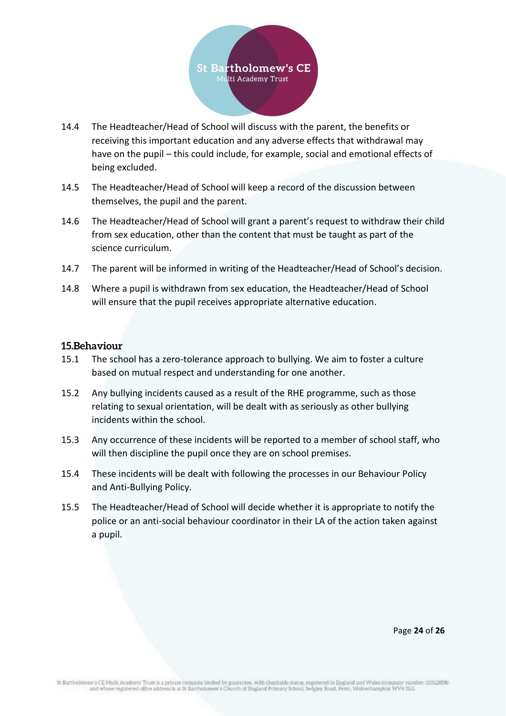

- 14.4 The Headteacher/Head of School will discuss with the parent, the benefits or receiving this important education and any adverse effects that withdrawal may have on the pupil – this could include, for example, social and emotional effects of being excluded.
- 14.5 The Headteacher/Head of School will keep a record of the discussion between themselves, the pupil and the parent.
- 14.6 The Headteacher/Head of School will grant a parent's request to withdraw their child from sex education, other than the content that must be taught as part of the science curriculum.
- 14.7 The parent will be informed in writing of the Headteacher/Head of School's decision.
- 14.8 Where a pupil is withdrawn from sex education, the Headteacher/Head of School will ensure that the pupil receives appropriate alternative education.

#### <span id="page-23-0"></span>**15.Behaviour**

- 15.1 The school has a zero-tolerance approach to bullying. We aim to foster a culture based on mutual respect and understanding for one another.
- 15.2 Any bullying incidents caused as a result of the RHE programme, such as those relating to sexual orientation, will be dealt with as seriously as other bullying incidents within the school.
- 15.3 Any occurrence of these incidents will be reported to a member of school staff, who will then discipline the pupil once they are on school premises.
- 15.4 These incidents will be dealt with following the processes in our Behaviour Policy and Anti-Bullying Policy.
- 15.5 The Headteacher/Head of School will decide whether it is appropriate to notify the police or an anti-social behaviour coordinator in their LA of the action taken against a pupil.

Page **24** of **26**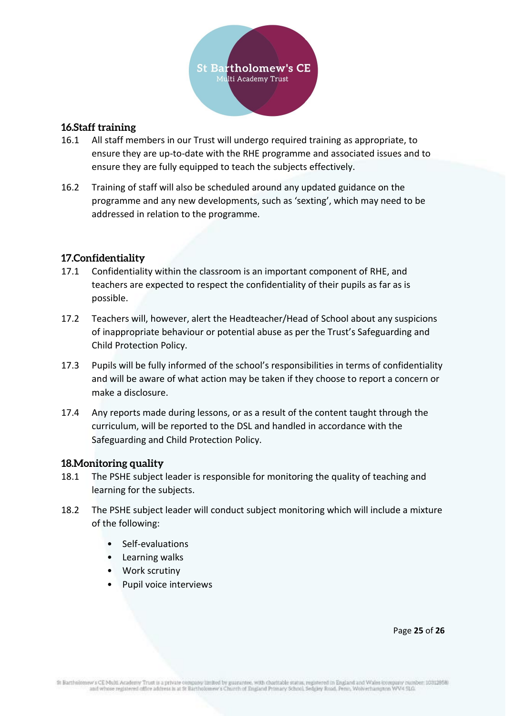

## <span id="page-24-0"></span>**16.Staff training**

- 16.1 All staff members in our Trust will undergo required training as appropriate, to ensure they are up-to-date with the RHE programme and associated issues and to ensure they are fully equipped to teach the subjects effectively.
- 16.2 Training of staff will also be scheduled around any updated guidance on the programme and any new developments, such as 'sexting', which may need to be addressed in relation to the programme.

## <span id="page-24-1"></span>**17.Confidentiality**

- 17.1 Confidentiality within the classroom is an important component of RHE, and teachers are expected to respect the confidentiality of their pupils as far as is possible.
- 17.2 Teachers will, however, alert the Headteacher/Head of School about any suspicions of inappropriate behaviour or potential abuse as per the Trust's Safeguarding and Child Protection Policy.
- 17.3 Pupils will be fully informed of the school's responsibilities in terms of confidentiality and will be aware of what action may be taken if they choose to report a concern or make a disclosure.
- 17.4 Any reports made during lessons, or as a result of the content taught through the curriculum, will be reported to the DSL and handled in accordance with the Safeguarding and Child Protection Policy.

#### <span id="page-24-2"></span>**18.Monitoring quality**

- 18.1 The PSHE subject leader is responsible for monitoring the quality of teaching and learning for the subjects.
- 18.2 The PSHE subject leader will conduct subject monitoring which will include a mixture of the following:
	- Self-evaluations
	- Learning walks
	- Work scrutiny
	- Pupil voice interviews

Page **25** of **26**